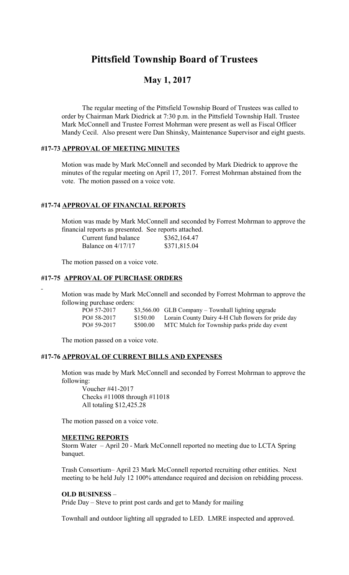# **Pittsfield Township Board of Trustees**

# **May 1, 2017**

The regular meeting of the Pittsfield Township Board of Trustees was called to order by Chairman Mark Diedrick at 7:30 p.m. in the Pittsfield Township Hall. Trustee Mark McConnell and Trustee Forrest Mohrman were present as well as Fiscal Officer Mandy Cecil. Also present were Dan Shinsky, Maintenance Supervisor and eight guests.

### **#17-73 APPROVAL OF MEETING MINUTES**

Motion was made by Mark McConnell and seconded by Mark Diedrick to approve the minutes of the regular meeting on April 17, 2017. Forrest Mohrman abstained from the vote. The motion passed on a voice vote.

# **#17-74 APPROVAL OF FINANCIAL REPORTS**

Motion was made by Mark McConnell and seconded by Forrest Mohrman to approve the financial reports as presented. See reports attached.

| Current fund balance | \$362,164.47 |
|----------------------|--------------|
| Balance on $4/17/17$ | \$371,815.04 |

The motion passed on a voice vote.

# **#17-75 APPROVAL OF PURCHASE ORDERS**

Motion was made by Mark McConnell and seconded by Forrest Mohrman to approve the following purchase orders:

| PO# 57-2017  |          | $$3,566.00$ GLB Company – Townhall lighting upgrade |
|--------------|----------|-----------------------------------------------------|
| PO# 58-2017  | \$150.00 | Lorain County Dairy 4-H Club flowers for pride day  |
| $PO#59-2017$ | \$500.00 | MTC Mulch for Township parks pride day event        |

The motion passed on a voice vote.

## **#17-76 APPROVAL OF CURRENT BILLS AND EXPENSES**

Motion was made by Mark McConnell and seconded by Forrest Mohrman to approve the following:

Voucher #41-2017 Checks #11008 through #11018 All totaling \$12,425.28

The motion passed on a voice vote.

### **MEETING REPORTS**

Storm Water – April 20 - Mark McConnell reported no meeting due to LCTA Spring banquet.

Trash Consortium– April 23 Mark McConnell reported recruiting other entities. Next meeting to be held July 12 100% attendance required and decision on rebidding process.

#### **OLD BUSINESS** –

Pride Day – Steve to print post cards and get to Mandy for mailing

Townhall and outdoor lighting all upgraded to LED. LMRE inspected and approved.